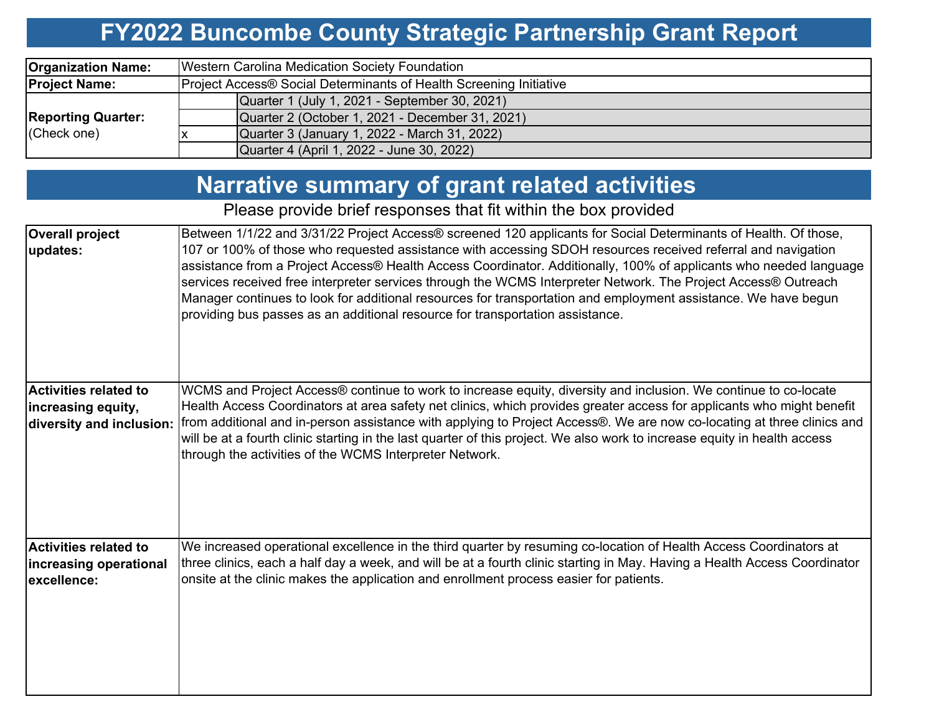#### **FY2022 Buncombe County Strategic Partnership Grant Report**

| <b>Organization Name:</b> | Western Carolina Medication Society Foundation                     |  |  |  |  |  |  |  |
|---------------------------|--------------------------------------------------------------------|--|--|--|--|--|--|--|
| <b>Project Name:</b>      | Project Access® Social Determinants of Health Screening Initiative |  |  |  |  |  |  |  |
|                           | Quarter 1 (July 1, 2021 - September 30, 2021)                      |  |  |  |  |  |  |  |
| <b>Reporting Quarter:</b> | Quarter 2 (October 1, 2021 - December 31, 2021)                    |  |  |  |  |  |  |  |
| (Check one)               | Quarter 3 (January 1, 2022 - March 31, 2022)                       |  |  |  |  |  |  |  |
|                           | Quarter 4 (April 1, 2022 - June 30, 2022)                          |  |  |  |  |  |  |  |

### **Narrative summary of grant related activities**

Please provide brief responses that fit within the box provided

| <b>Overall project</b><br>updates:                                             | Between 1/1/22 and 3/31/22 Project Access® screened 120 applicants for Social Determinants of Health. Of those,<br>107 or 100% of those who requested assistance with accessing SDOH resources received referral and navigation<br>assistance from a Project Access® Health Access Coordinator. Additionally, 100% of applicants who needed language<br>services received free interpreter services through the WCMS Interpreter Network. The Project Access® Outreach<br>Manager continues to look for additional resources for transportation and employment assistance. We have begun<br>providing bus passes as an additional resource for transportation assistance. |
|--------------------------------------------------------------------------------|---------------------------------------------------------------------------------------------------------------------------------------------------------------------------------------------------------------------------------------------------------------------------------------------------------------------------------------------------------------------------------------------------------------------------------------------------------------------------------------------------------------------------------------------------------------------------------------------------------------------------------------------------------------------------|
| <b>Activities related to</b><br>increasing equity,<br>diversity and inclusion: | WCMS and Project Access® continue to work to increase equity, diversity and inclusion. We continue to co-locate<br>Health Access Coordinators at area safety net clinics, which provides greater access for applicants who might benefit<br>from additional and in-person assistance with applying to Project Access®. We are now co-locating at three clinics and<br>will be at a fourth clinic starting in the last quarter of this project. We also work to increase equity in health access<br>through the activities of the WCMS Interpreter Network.                                                                                                                |
| <b>Activities related to</b><br>increasing operational<br>excellence:          | We increased operational excellence in the third quarter by resuming co-location of Health Access Coordinators at<br>three clinics, each a half day a week, and will be at a fourth clinic starting in May. Having a Health Access Coordinator<br>onsite at the clinic makes the application and enrollment process easier for patients.                                                                                                                                                                                                                                                                                                                                  |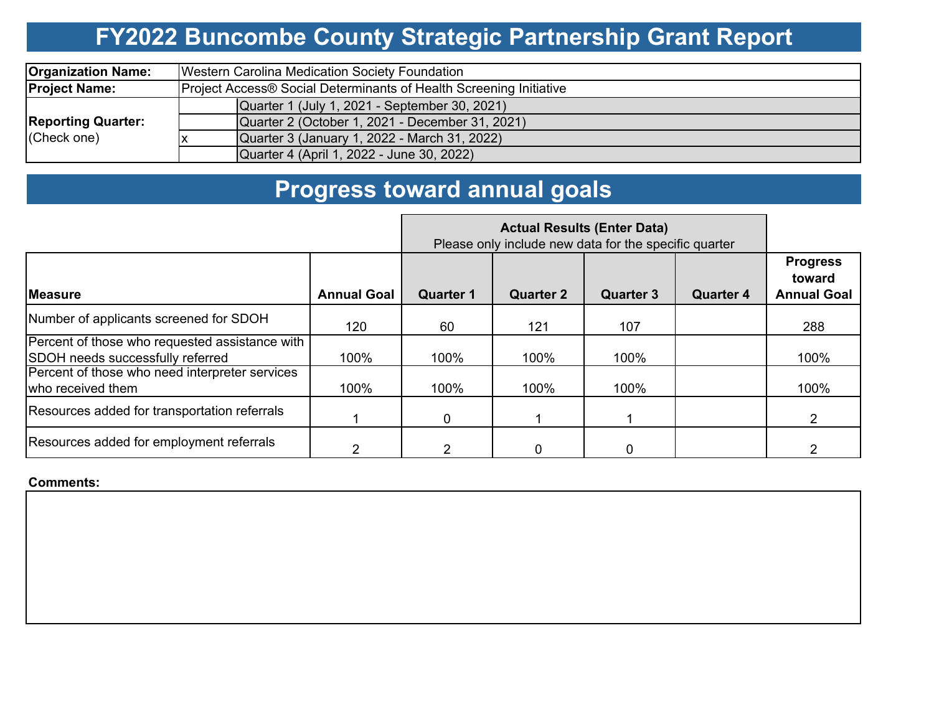# **FY2022 Buncombe County Strategic Partnership Grant Report**

| <b>Organization Name:</b>                | Western Carolina Medication Society Foundation                     |  |  |  |  |  |  |  |
|------------------------------------------|--------------------------------------------------------------------|--|--|--|--|--|--|--|
| <b>Project Name:</b>                     | Project Access® Social Determinants of Health Screening Initiative |  |  |  |  |  |  |  |
|                                          | Quarter 1 (July 1, 2021 - September 30, 2021)                      |  |  |  |  |  |  |  |
| <b>Reporting Quarter:</b><br>(Check one) | Quarter 2 (October 1, 2021 - December 31, 2021)                    |  |  |  |  |  |  |  |
|                                          | Quarter 3 (January 1, 2022 - March 31, 2022)                       |  |  |  |  |  |  |  |
|                                          | Quarter 4 (April 1, 2022 - June 30, 2022)                          |  |  |  |  |  |  |  |

# **Progress toward annual goals**

|                                                                                    | Please only include new data for the specific quarter |                  |                  |                  |                  |                                                 |
|------------------------------------------------------------------------------------|-------------------------------------------------------|------------------|------------------|------------------|------------------|-------------------------------------------------|
| <b>IMeasure</b>                                                                    | <b>Annual Goal</b>                                    | <b>Quarter 1</b> | <b>Quarter 2</b> | <b>Quarter 3</b> | <b>Quarter 4</b> | <b>Progress</b><br>toward<br><b>Annual Goal</b> |
| Number of applicants screened for SDOH                                             | 120                                                   | 60               | 121              | 107              |                  | 288                                             |
| Percent of those who requested assistance with<br>SDOH needs successfully referred | 100%                                                  | 100%             | 100%             | 100%             |                  | 100%                                            |
| Percent of those who need interpreter services<br>who received them                | 100%                                                  | 100%             | 100%             | 100%             |                  | 100%                                            |
| Resources added for transportation referrals                                       |                                                       | $\Omega$         |                  |                  |                  | $\mathcal{P}$                                   |
| Resources added for employment referrals                                           |                                                       |                  |                  |                  |                  |                                                 |

#### **Comments:**